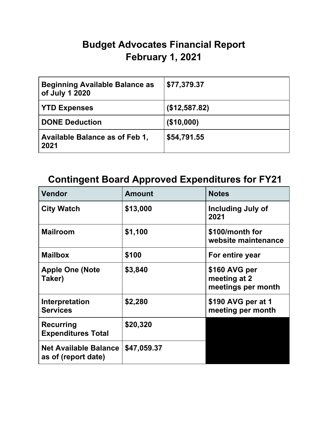## **Budget Advocates Financial Report February 1, 2021**

| <b>Beginning Available Balance as</b><br>of July 1 2020 | \$77,379.37   |
|---------------------------------------------------------|---------------|
| <b>YTD Expenses</b>                                     | (\$12,587.82) |
| <b>DONE Deduction</b>                                   | (\$10,000)    |
| Available Balance as of Feb 1,<br>2021                  | \$54,791.55   |

## **Contingent Board Approved Expenditures for FY21**

| <b>Vendor</b>                                       | <b>Amount</b> | <b>Notes</b>                                        |
|-----------------------------------------------------|---------------|-----------------------------------------------------|
| <b>City Watch</b>                                   | \$13,000      | <b>Including July of</b><br>2021                    |
| <b>Mailroom</b>                                     | \$1,100       | \$100/month for<br>website maintenance              |
| <b>Mailbox</b>                                      | \$100         | For entire year                                     |
| <b>Apple One (Note</b><br>Taker)                    | \$3,840       | \$160 AVG per<br>meeting at 2<br>meetings per month |
| Interpretation<br><b>Services</b>                   | \$2,280       | \$190 AVG per at 1<br>meeting per month             |
| <b>Recurring</b><br><b>Expenditures Total</b>       | \$20,320      |                                                     |
| <b>Net Available Balance</b><br>as of (report date) | \$47,059.37   |                                                     |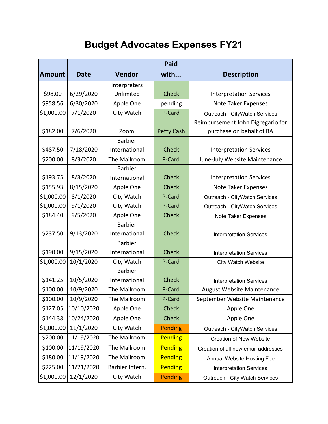## **Budget Advocates Expenses FY21**

|               |             |                 | <b>Paid</b>       |                                     |  |
|---------------|-------------|-----------------|-------------------|-------------------------------------|--|
| <b>Amount</b> | <b>Date</b> | <b>Vendor</b>   | with              | <b>Description</b>                  |  |
|               |             | Interpreters    |                   |                                     |  |
| \$98.00       | 6/29/2020   | Unlimited       | <b>Check</b>      | <b>Interpretation Services</b>      |  |
| \$958.56      | 6/30/2020   | Apple One       | pending           | Note Taker Expenses                 |  |
| \$1,000.00    | 7/1/2020    | City Watch      | P-Card            | Outreach - CityWatch Services       |  |
|               |             |                 |                   | Reimbursement John Digregario for   |  |
| \$182.00      | 7/6/2020    | Zoom            | <b>Petty Cash</b> | purchase on behalf of BA            |  |
|               |             | <b>Barbier</b>  |                   |                                     |  |
| \$487.50      | 7/18/2020   | International   | <b>Check</b>      | <b>Interpretation Services</b>      |  |
| \$200.00      | 8/3/2020    | The Mailroom    | P-Card            | June-July Website Maintenance       |  |
|               |             | <b>Barbier</b>  |                   |                                     |  |
| \$193.75      | 8/3/2020    | International   | <b>Check</b>      | <b>Interpretation Services</b>      |  |
| \$155.93      | 8/15/2020   | Apple One       | <b>Check</b>      | Note Taker Expenses                 |  |
| \$1,000.00    | 8/1/2020    | City Watch      | P-Card            | Outreach - CityWatch Services       |  |
| \$1,000.00    | 9/1/2020    | City Watch      | P-Card            | Outreach - CityWatch Services       |  |
| \$184.40      | 9/5/2020    | Apple One       | <b>Check</b>      | Note Taker Expenses                 |  |
|               |             | <b>Barbier</b>  |                   |                                     |  |
| \$237.50      | 9/13/2020   | International   | <b>Check</b>      | <b>Interpretation Services</b>      |  |
|               |             | <b>Barbier</b>  |                   |                                     |  |
| \$190.00      | 9/15/2020   | International   | <b>Check</b>      | <b>Interpretation Services</b>      |  |
| \$1,000.00    | 10/1/2020   | City Watch      | P-Card            | <b>City Watch Website</b>           |  |
|               |             | <b>Barbier</b>  |                   |                                     |  |
| \$141.25      | 10/5/2020   | International   | <b>Check</b>      | <b>Interpretation Services</b>      |  |
| \$100.00      | 10/9/2020   | The Mailroom    | P-Card            | August Website Maintenance          |  |
| \$100.00      | 10/9/2020   | The Mailroom    | P-Card            | September Website Maintenance       |  |
| \$127.05      | 10/10/2020  | Apple One       | <b>Check</b>      | Apple One                           |  |
| \$144.38      | 10/24/2020  | Apple One       | <b>Check</b>      | Apple One                           |  |
| \$1,000.00    | 11/1/2020   | City Watch      | Pending           | Outreach - CityWatch Services       |  |
| \$200.00      | 11/19/2020  | The Mailroom    | Pending           | <b>Creation of New Website</b>      |  |
| \$100.00      | 11/19/2020  | The Mailroom    | <b>Pending</b>    | Creation of all new email addresses |  |
| \$180.00      | 11/19/2020  | The Mailroom    | <b>Pending</b>    | Annual Website Hosting Fee          |  |
| \$225.00      | 11/21/2020  | Barbier Intern. | <b>Pending</b>    | <b>Interpretation Services</b>      |  |
| \$1,000.00    | 12/1/2020   | City Watch      | Pending           | Outreach - City Watch Services      |  |